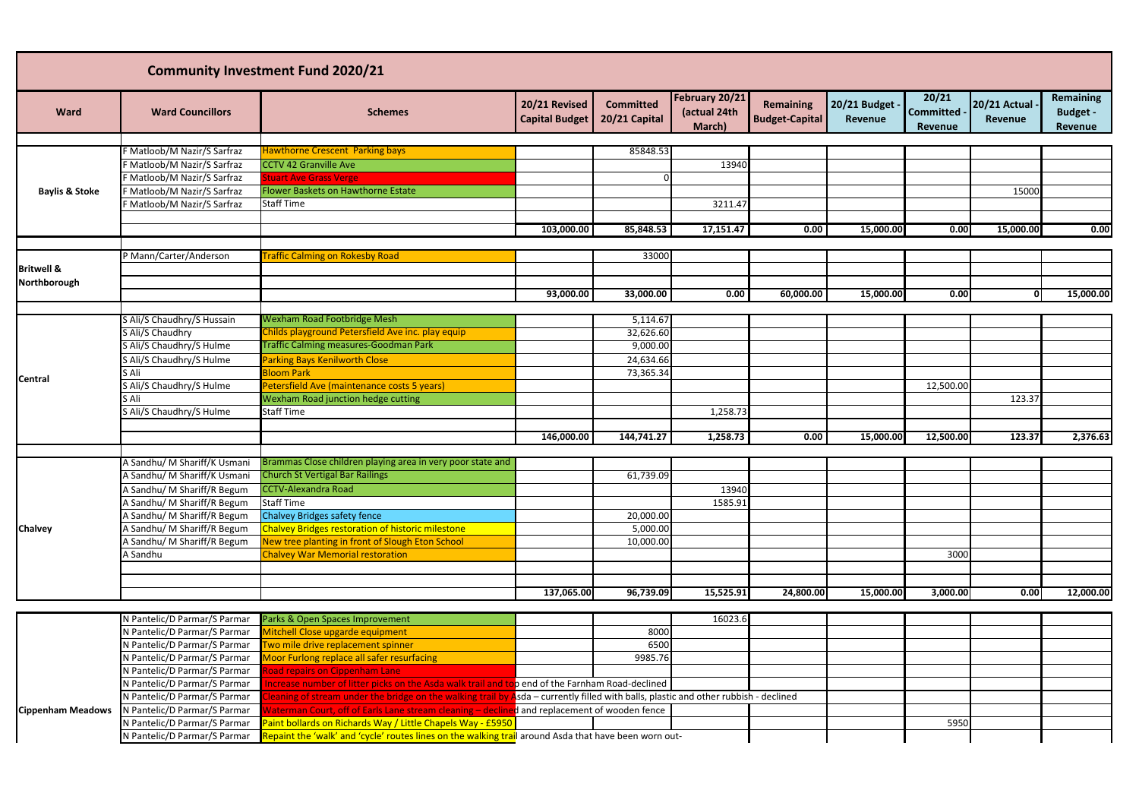|                           |                                                            | <b>Community Investment Fund 2020/21</b>                                                                     |                                        |                                   |                                          |                                           |                           |                                 |                         |                                                |
|---------------------------|------------------------------------------------------------|--------------------------------------------------------------------------------------------------------------|----------------------------------------|-----------------------------------|------------------------------------------|-------------------------------------------|---------------------------|---------------------------------|-------------------------|------------------------------------------------|
| <b>Ward</b>               | <b>Ward Councillors</b>                                    | <b>Schemes</b>                                                                                               | 20/21 Revised<br><b>Capital Budget</b> | <b>Committed</b><br>20/21 Capital | February 20/21<br>(actual 24th<br>March) | <b>Remaining</b><br><b>Budget-Capital</b> | 20/21 Budget -<br>Revenue | 20/21<br>Committed -<br>Revenue | 20/21 Actual<br>Revenue | <b>Remaining</b><br><b>Budget -</b><br>Revenue |
|                           | F Matloob/M Nazir/S Sarfraz                                | <b>Hawthorne Crescent Parking bays</b>                                                                       |                                        | 85848.53                          |                                          |                                           |                           |                                 |                         |                                                |
|                           | F Matloob/M Nazir/S Sarfraz                                | <b>CCTV 42 Granville Ave</b>                                                                                 |                                        |                                   |                                          |                                           |                           |                                 |                         |                                                |
|                           | F Matloob/M Nazir/S Sarfraz                                | <b>Stuart Ave Grass Verge</b>                                                                                |                                        |                                   | 13940                                    |                                           |                           |                                 |                         |                                                |
| <b>Baylis &amp; Stoke</b> | F Matloob/M Nazir/S Sarfraz                                | Flower Baskets on Hawthorne Estate                                                                           |                                        |                                   |                                          |                                           |                           |                                 | 15000                   |                                                |
|                           | F Matloob/M Nazir/S Sarfraz                                | <b>Staff Time</b>                                                                                            |                                        |                                   | 3211.47                                  |                                           |                           |                                 |                         |                                                |
|                           |                                                            |                                                                                                              |                                        |                                   |                                          |                                           |                           |                                 |                         |                                                |
|                           |                                                            |                                                                                                              | 103,000.00                             | 85,848.53                         | 17,151.47                                | 0.00                                      | 15,000.00                 | 0.00                            | 15,000.00               | 0.00                                           |
|                           |                                                            |                                                                                                              |                                        |                                   |                                          |                                           |                           |                                 |                         |                                                |
|                           | P Mann/Carter/Anderson                                     | <b>Traffic Calming on Rokesby Road</b>                                                                       |                                        | 33000                             |                                          |                                           |                           |                                 |                         |                                                |
| <b>Britwell &amp;</b>     |                                                            |                                                                                                              |                                        |                                   |                                          |                                           |                           |                                 |                         |                                                |
| Northborough              |                                                            |                                                                                                              |                                        |                                   |                                          |                                           |                           |                                 |                         |                                                |
|                           |                                                            |                                                                                                              | 93,000.00                              | 33,000.00                         | 0.00                                     | 60,000.00                                 | 15,000.00                 | 0.00                            | 0l                      | 15,000.00                                      |
|                           |                                                            |                                                                                                              |                                        |                                   |                                          |                                           |                           |                                 |                         |                                                |
|                           | S Ali/S Chaudhry/S Hussain                                 | <b>Wexham Road Footbridge Mesh</b>                                                                           |                                        | 5,114.67                          |                                          |                                           |                           |                                 |                         |                                                |
|                           | S Ali/S Chaudhry                                           | Childs playground Petersfield Ave inc. play equip                                                            |                                        | 32,626.60                         |                                          |                                           |                           |                                 |                         |                                                |
|                           | S Ali/S Chaudhry/S Hulme                                   | <b>Traffic Calming measures-Goodman Park</b>                                                                 |                                        | 9,000.00                          |                                          |                                           |                           |                                 |                         |                                                |
|                           | S Ali/S Chaudhry/S Hulme                                   | <b>Parking Bays Kenilworth Close</b>                                                                         |                                        | 24,634.66                         |                                          |                                           |                           |                                 |                         |                                                |
| Central                   | S Ali                                                      | <b>Bloom Park</b>                                                                                            |                                        | 73,365.34                         |                                          |                                           |                           |                                 |                         |                                                |
|                           | S Ali/S Chaudhry/S Hulme                                   | Petersfield Ave (maintenance costs 5 years)                                                                  |                                        |                                   |                                          |                                           |                           | 12,500.00                       |                         |                                                |
|                           | S Ali                                                      | Wexham Road junction hedge cutting                                                                           |                                        |                                   |                                          |                                           |                           |                                 | 123.37                  |                                                |
|                           | S Ali/S Chaudhry/S Hulme                                   | <b>Staff Time</b>                                                                                            |                                        |                                   | 1,258.73                                 |                                           |                           |                                 |                         |                                                |
|                           |                                                            |                                                                                                              |                                        |                                   |                                          |                                           |                           |                                 |                         |                                                |
|                           |                                                            |                                                                                                              | 146,000.00                             | 144,741.27                        | 1,258.73                                 | 0.00                                      | 15,000.00                 | 12,500.00                       | 123.37                  | 2,376.63                                       |
|                           | A Sandhu/ M Shariff/K Usmani                               | Brammas Close children playing area in very poor state and                                                   |                                        |                                   |                                          |                                           |                           |                                 |                         |                                                |
|                           | A Sandhu/ M Shariff/K Usmani                               | <b>Church St Vertigal Bar Railings</b>                                                                       |                                        | 61,739.09                         |                                          |                                           |                           |                                 |                         |                                                |
|                           |                                                            |                                                                                                              |                                        |                                   |                                          |                                           |                           |                                 |                         |                                                |
|                           | A Sandhu/ M Shariff/R Begum                                | <b>CCTV-Alexandra Road</b>                                                                                   |                                        |                                   | 13940                                    |                                           |                           |                                 |                         |                                                |
|                           | A Sandhu/ M Shariff/R Begum<br>A Sandhu/ M Shariff/R Begum | <b>Staff Time</b>                                                                                            |                                        |                                   | 1585.91                                  |                                           |                           |                                 |                         |                                                |
|                           |                                                            | <b>Chalvey Bridges safety fence</b>                                                                          |                                        | 20,000.00                         |                                          |                                           |                           |                                 |                         |                                                |
| <b>Chalvey</b>            | A Sandhu/ M Shariff/R Begum<br>A Sandhu/ M Shariff/R Begum | <b>Chalvey Bridges restoration of historic milestone</b><br>New tree planting in front of Slough Eton School |                                        | 5,000.00<br>10,000.00             |                                          |                                           |                           |                                 |                         |                                                |
|                           |                                                            | <b>Chalvey War Memorial restoration</b>                                                                      |                                        |                                   |                                          |                                           |                           | 3000                            |                         |                                                |
|                           | A Sandhu                                                   |                                                                                                              |                                        |                                   |                                          |                                           |                           |                                 |                         |                                                |
|                           |                                                            |                                                                                                              |                                        |                                   |                                          |                                           |                           |                                 |                         |                                                |
|                           |                                                            |                                                                                                              | 137,065.00                             | 96,739.09                         | 15,525.91                                | 24,800.00                                 | 15,000.00                 | 3,000.00                        | 0.00                    | 12,000.00                                      |
|                           |                                                            |                                                                                                              |                                        |                                   |                                          |                                           |                           |                                 |                         |                                                |
|                           |                                                            | N Pantelic/D Parmar/S Parmar Parks & Open Spaces Improvement                                                 |                                        |                                   | 16023.6                                  |                                           |                           |                                 |                         |                                                |

|                          | N Pantelic/D Parmar/S Parmar | Parks & Open Spaces Improvement                                                                                                      |                                   | 16023.6 |  |      |  |
|--------------------------|------------------------------|--------------------------------------------------------------------------------------------------------------------------------------|-----------------------------------|---------|--|------|--|
|                          | N Pantelic/D Parmar/S Parmar | Mitchell Close upgarde equipment                                                                                                     | 8000                              |         |  |      |  |
|                          | N Pantelic/D Parmar/S Parmar | Two mile drive replacement spinner                                                                                                   | 6500                              |         |  |      |  |
|                          | N Pantelic/D Parmar/S Parmar | Moor Furlong replace all safer resurfacing                                                                                           | 9985.76                           |         |  |      |  |
|                          | N Pantelic/D Parmar/S Parmar | Road repairs on Cippenham Lane                                                                                                       |                                   |         |  |      |  |
|                          | N Pantelic/D Parmar/S Parmar | Increase number of litter picks on the Asda walk trail and top end of the Farnham Road-declined                                      |                                   |         |  |      |  |
|                          | N Pantelic/D Parmar/S Parmar | Cleaning of stream under the bridge on the walking trail by Asda – currently filled with balls, plastic and other rubbish - declined |                                   |         |  |      |  |
| <b>Cippenham Meadows</b> | N Pantelic/D Parmar/S Parmar | Waterman Court, off of Earls Lane stream cleaning - decl                                                                             | d and replacement of wooden fence |         |  |      |  |
|                          | N Pantelic/D Parmar/S Parmar | Paint bollards on Richards Way / Little Chapels Way - £5950                                                                          |                                   |         |  | 5950 |  |
|                          | N Pantelic/D Parmar/S Parmar | Repaint the 'walk' and 'cycle' routes lines on the walking trail around Asda that have been worn out-                                |                                   |         |  |      |  |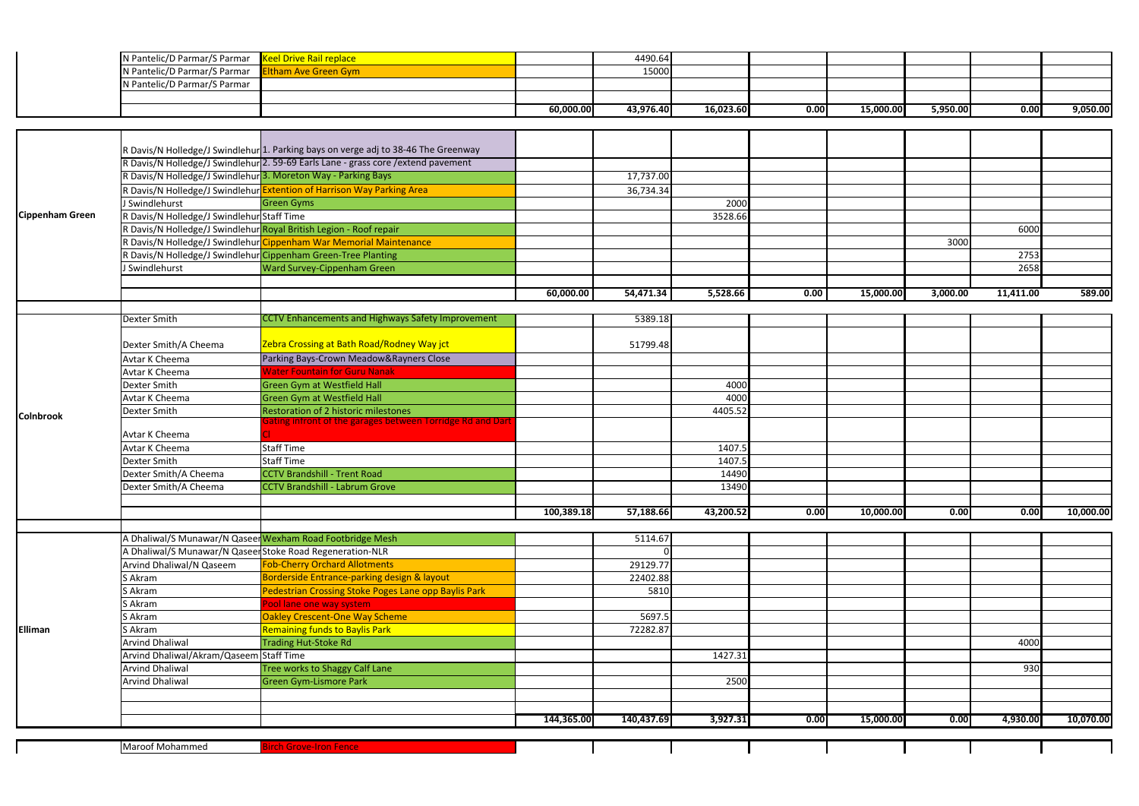| N Pantelic/D Parmar/S Parmar   Keel Drive Rail replace   |           | 4490.64   |           |      |           |          |      |          |
|----------------------------------------------------------|-----------|-----------|-----------|------|-----------|----------|------|----------|
| N Pantelic/D Parmar/S Parmar <b>Eltham Ave Green Gym</b> |           | 15000     |           |      |           |          |      |          |
| N Pantelic/D Parmar/S Parmar                             |           |           |           |      |           |          |      |          |
|                                                          |           |           |           |      |           |          |      |          |
|                                                          | 60,000.00 | 43,976.40 | 16,023.60 | 0.00 | 15,000.00 | 5,950.00 | 0.00 | 9,050.00 |

|                        |                                            | R Davis/N Holledge/J Swindlehur 1. Parking bays on verge adj to 38-46 The Greenway |            |            |           |      |           |          |           |           |
|------------------------|--------------------------------------------|------------------------------------------------------------------------------------|------------|------------|-----------|------|-----------|----------|-----------|-----------|
|                        |                                            | R Davis/N Holledge/J Swindlehur 2. 59-69 Earls Lane - grass core / extend pavement |            |            |           |      |           |          |           |           |
|                        |                                            | R Davis/N Holledge/J Swindlehur 3. Moreton Way - Parking Bays                      |            | 17,737.00  |           |      |           |          |           |           |
|                        |                                            | R Davis/N Holledge/J Swindlehur Extention of Harrison Way Parking Area             |            | 36,734.34  |           |      |           |          |           |           |
|                        | J Swindlehurst                             | <b>Green Gyms</b>                                                                  |            |            | 2000      |      |           |          |           |           |
| <b>Cippenham Green</b> | R Davis/N Holledge/J Swindlehur Staff Time |                                                                                    |            |            | 3528.66   |      |           |          |           |           |
|                        |                                            | R Davis/N Holledge/J Swindlehur Royal British Legion - Roof repair                 |            |            |           |      |           |          | 6000      |           |
|                        |                                            | R Davis/N Holledge/J Swindlehur Cippenham War Memorial Maintenance                 |            |            |           |      |           | 3000     |           |           |
|                        |                                            | R Davis/N Holledge/J Swindlehur Cippenham Green-Tree Planting                      |            |            |           |      |           |          | 2753      |           |
|                        | J Swindlehurst                             | Ward Survey-Cippenham Green                                                        |            |            |           |      |           |          | 2658      |           |
|                        |                                            |                                                                                    |            |            |           |      |           |          |           |           |
|                        |                                            |                                                                                    | 60,000.00  | 54,471.34  | 5,528.66  | 0.00 | 15,000.00 | 3,000.00 | 11,411.00 | 589.00    |
|                        |                                            |                                                                                    |            |            |           |      |           |          |           |           |
|                        | Dexter Smith                               | <b>CCTV Enhancements and Highways Safety Improvement</b>                           |            | 5389.18    |           |      |           |          |           |           |
|                        |                                            |                                                                                    |            |            |           |      |           |          |           |           |
|                        | Dexter Smith/A Cheema                      | Zebra Crossing at Bath Road/Rodney Way jct                                         |            | 51799.48   |           |      |           |          |           |           |
|                        | <b>Avtar K Cheema</b>                      | Parking Bays-Crown Meadow&Rayners Close                                            |            |            |           |      |           |          |           |           |
|                        | Avtar K Cheema                             | <b>Water Fountain for Guru Nanak</b>                                               |            |            |           |      |           |          |           |           |
|                        | Dexter Smith                               | <b>Green Gym at Westfield Hall</b>                                                 |            |            | 4000      |      |           |          |           |           |
|                        | Avtar K Cheema                             | <b>Green Gym at Westfield Hall</b>                                                 |            |            | 4000      |      |           |          |           |           |
| <b>Colnbrook</b>       | Dexter Smith                               | Restoration of 2 historic milestones                                               |            |            | 4405.52   |      |           |          |           |           |
|                        |                                            | Fating infront of the garages between Torridge Rd and Dari                         |            |            |           |      |           |          |           |           |
|                        | <b>Avtar K Cheema</b>                      |                                                                                    |            |            |           |      |           |          |           |           |
|                        | Avtar K Cheema                             | <b>Staff Time</b>                                                                  |            |            | 1407.5    |      |           |          |           |           |
|                        | <b>Dexter Smith</b>                        | <b>Staff Time</b>                                                                  |            |            | 1407.5    |      |           |          |           |           |
|                        | Dexter Smith/A Cheema                      | <b>CCTV Brandshill - Trent Road</b>                                                |            |            | 14490     |      |           |          |           |           |
|                        | Dexter Smith/A Cheema                      | <b>CCTV Brandshill - Labrum Grove</b>                                              |            |            | 13490     |      |           |          |           |           |
|                        |                                            |                                                                                    | 100,389.18 | 57,188.66  | 43,200.52 | 0.00 | 10,000.00 | 0.00     | 0.00      | 10,000.00 |
|                        |                                            |                                                                                    |            |            |           |      |           |          |           |           |
|                        |                                            | A Dhaliwal/S Munawar/N Qaseer Wexham Road Footbridge Mesh                          |            | 5114.67    |           |      |           |          |           |           |
|                        |                                            |                                                                                    |            |            |           |      |           |          |           |           |
|                        |                                            |                                                                                    |            |            |           |      |           |          |           |           |
|                        |                                            | A Dhaliwal/S Munawar/N Qaseer Stoke Road Regeneration-NLR                          |            |            |           |      |           |          |           |           |
|                        | Arvind Dhaliwal/N Qaseem<br>S Akram        | <b>Fob-Cherry Orchard Allotments</b>                                               |            | 29129.77   |           |      |           |          |           |           |
|                        |                                            | Borderside Entrance-parking design & layout                                        |            | 22402.88   |           |      |           |          |           |           |
|                        | S Akram<br>S Akram                         | Pedestrian Crossing Stoke Poges Lane opp Baylis Park                               |            | 5810       |           |      |           |          |           |           |
|                        | S Akram                                    | Pool lane one way system                                                           |            | 5697.5     |           |      |           |          |           |           |
| <b>Elliman</b>         | S Akram                                    | <b>Oakley Crescent-One Way Scheme</b><br><b>Remaining funds to Baylis Park</b>     |            | 72282.87   |           |      |           |          |           |           |
|                        | <b>Arvind Dhaliwal</b>                     | Trading Hut-Stoke Rd                                                               |            |            |           |      |           |          | 4000      |           |
|                        | Arvind Dhaliwal/Akram/Qaseem Staff Time    |                                                                                    |            |            | 1427.31   |      |           |          |           |           |
|                        | <b>Arvind Dhaliwal</b>                     | Tree works to Shaggy Calf Lane                                                     |            |            |           |      |           |          | 930       |           |
|                        | <b>Arvind Dhaliwal</b>                     | <b>Green Gym-Lismore Park</b>                                                      |            |            | 2500      |      |           |          |           |           |
|                        |                                            |                                                                                    |            |            |           |      |           |          |           |           |
|                        |                                            |                                                                                    |            |            |           |      |           |          |           |           |
|                        |                                            |                                                                                    | 144,365.00 | 140,437.69 | 3,927.31  | 0.00 | 15,000.00 | 0.00     | 4,930.00  | 10,070.00 |
|                        | Maroof Mohammed                            | <b>Birch Grove-Iron Fence</b>                                                      |            |            |           |      |           |          |           |           |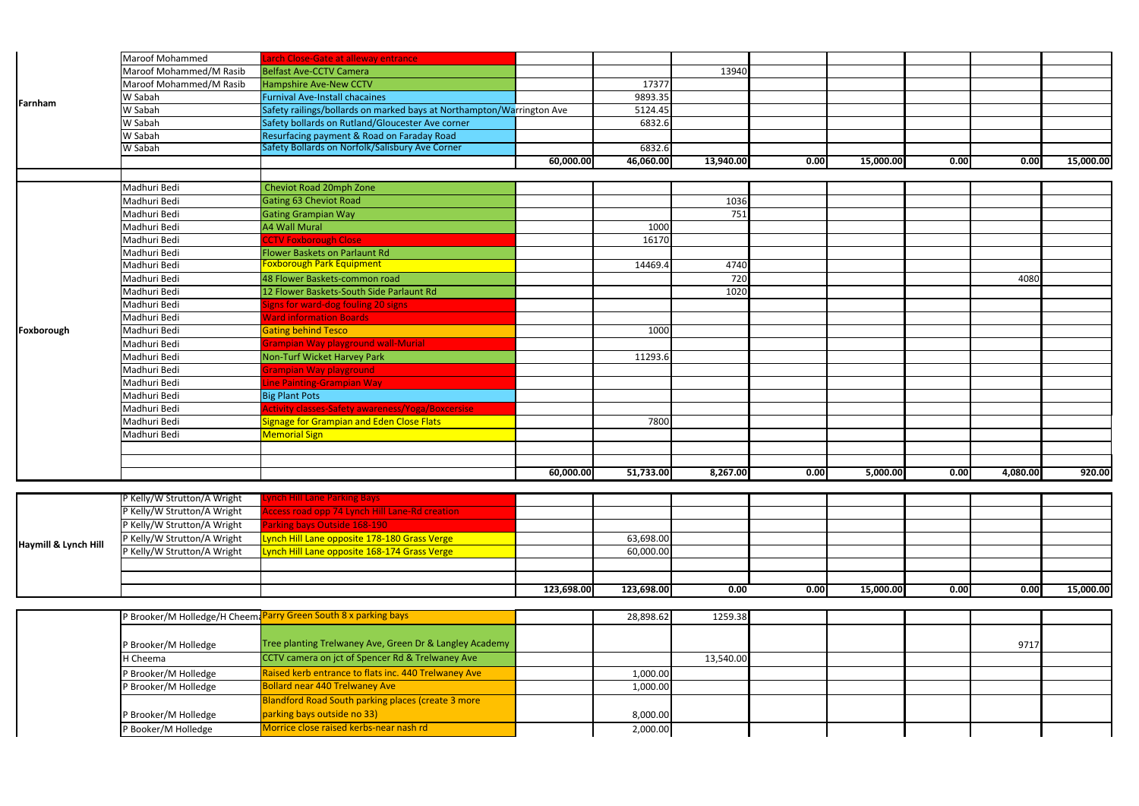|                      | Maroof Mohammed             | arch Close-Gate at alleway entrance                                   |            |            |           |      |           |      |          |           |
|----------------------|-----------------------------|-----------------------------------------------------------------------|------------|------------|-----------|------|-----------|------|----------|-----------|
|                      | Maroof Mohammed/M Rasib     | <b>Belfast Ave-CCTV Camera</b>                                        |            |            | 13940     |      |           |      |          |           |
|                      | Maroof Mohammed/M Rasib     | <b>Hampshire Ave-New CCTV</b>                                         |            | 17377      |           |      |           |      |          |           |
| Farnham              | W Sabah                     | <b>Furnival Ave-Install chacaines</b>                                 |            | 9893.35    |           |      |           |      |          |           |
|                      | W Sabah                     | Safety railings/bollards on marked bays at Northampton/Warrington Ave |            | 5124.45    |           |      |           |      |          |           |
|                      | W Sabah                     | Safety bollards on Rutland/Gloucester Ave corner                      |            | 6832.6     |           |      |           |      |          |           |
|                      | W Sabah                     | Resurfacing payment & Road on Faraday Road                            |            |            |           |      |           |      |          |           |
|                      | W Sabah                     | Safety Bollards on Norfolk/Salisbury Ave Corner                       |            | 6832.6     |           |      |           |      |          |           |
|                      |                             |                                                                       | 60,000.00  | 46,060.00  | 13,940.00 | 0.00 | 15,000.00 | 0.00 | 0.00     | 15,000.00 |
|                      |                             |                                                                       |            |            |           |      |           |      |          |           |
|                      | Madhuri Bedi                | Cheviot Road 20mph Zone                                               |            |            |           |      |           |      |          |           |
|                      | Madhuri Bedi                | <b>Gating 63 Cheviot Road</b>                                         |            |            | 1036      |      |           |      |          |           |
|                      | Madhuri Bedi                | <b>Gating Grampian Way</b>                                            |            |            | 751       |      |           |      |          |           |
|                      | Madhuri Bedi                | <b>A4 Wall Mural</b>                                                  |            | 1000       |           |      |           |      |          |           |
|                      | Madhuri Bedi                | <b>CCTV Foxborough Close</b>                                          |            | 16170      |           |      |           |      |          |           |
|                      | Madhuri Bedi                | Flower Baskets on Parlaunt Rd                                         |            |            |           |      |           |      |          |           |
|                      | Madhuri Bedi                | <b>Foxborough Park Equipment</b>                                      |            | 14469.4    | 4740      |      |           |      |          |           |
|                      | Madhuri Bedi                | 48 Flower Baskets-common road                                         |            |            | 720       |      |           |      | 4080     |           |
|                      | Madhuri Bedi                | 12 Flower Baskets-South Side Parlaunt Rd                              |            |            | 1020      |      |           |      |          |           |
|                      | Madhuri Bedi                | ligns for ward-dog fouling 20 signs                                   |            |            |           |      |           |      |          |           |
|                      | Madhuri Bedi                | <b>Nard information Boards</b>                                        |            |            |           |      |           |      |          |           |
| Foxborough           | Madhuri Bedi                | <b>Gating behind Tesco</b>                                            |            | 1000       |           |      |           |      |          |           |
|                      | Madhuri Bedi                | Grampian Way playground wall-Murial                                   |            |            |           |      |           |      |          |           |
|                      | Madhuri Bedi                | Non-Turf Wicket Harvey Park                                           |            | 11293.     |           |      |           |      |          |           |
|                      | Madhuri Bedi                | <b>Srampian Way playground</b>                                        |            |            |           |      |           |      |          |           |
|                      | Madhuri Bedi                | ine Painting-Grampian Way                                             |            |            |           |      |           |      |          |           |
|                      | Madhuri Bedi                | <b>Big Plant Pots</b>                                                 |            |            |           |      |           |      |          |           |
|                      | Madhuri Bedi                | <b>Activity classes-Safety awareness/Yoga/Boxcersise</b>              |            |            |           |      |           |      |          |           |
|                      | Madhuri Bedi                | <b>Signage for Grampian and Eden Close Flats</b>                      |            | 7800       |           |      |           |      |          |           |
|                      | Madhuri Bedi                | <b>Memorial Sign</b>                                                  |            |            |           |      |           |      |          |           |
|                      |                             |                                                                       |            |            |           |      |           |      |          |           |
|                      |                             |                                                                       |            |            |           |      |           |      |          |           |
|                      |                             |                                                                       | 60,000.00  | 51,733.00  | 8,267.00  | 0.00 | 5,000.00  | 0.00 | 4,080.00 | 920.00    |
|                      |                             |                                                                       |            |            |           |      |           |      |          |           |
|                      | P Kelly/W Strutton/A Wright | <u>ynch Hill Lane Parking Bays.</u>                                   |            |            |           |      |           |      |          |           |
|                      | P Kelly/W Strutton/A Wright | Access road opp 74 Lynch Hill Lane-Rd creation                        |            |            |           |      |           |      |          |           |
|                      | P Kelly/W Strutton/A Wright | Parking bays Outside 168-190                                          |            |            |           |      |           |      |          |           |
|                      | P Kelly/W Strutton/A Wright | Lynch Hill Lane opposite 178-180 Grass Verge                          |            | 63,698.00  |           |      |           |      |          |           |
| Haymill & Lynch Hill | P Kelly/W Strutton/A Wright | Lynch Hill Lane opposite 168-174 Grass Verge                          |            | 60,000.00  |           |      |           |      |          |           |
|                      |                             |                                                                       |            |            |           |      |           |      |          |           |
|                      |                             |                                                                       |            |            |           |      |           |      |          |           |
|                      |                             |                                                                       | 123,698.00 | 123,698.00 | 0.00      | 0.00 | 15,000.00 | 0.00 | 0.00     | 15,000.00 |

|                      |                             |                                                       | 123,698.00 | 123,698.00 | 0.00 | 0.00 |  |
|----------------------|-----------------------------|-------------------------------------------------------|------------|------------|------|------|--|
|                      |                             |                                                       |            |            |      |      |  |
|                      |                             |                                                       |            |            |      |      |  |
| Haymill & Lynch Hill | P Kelly/W Strutton/A Wright | Lynch Hill Lane opposite 168-174 Grass Verge          |            | 60,000.00  |      |      |  |
|                      | P Kelly/W Strutton/A Wright | Lynch Hill Lane opposite 178-180 Grass Verge          |            | 63,698.00  |      |      |  |
|                      | P Kelly/W Strutton/A Wright | <b>Parking bays Outside 168-190</b>                   |            |            |      |      |  |
|                      | P Kelly/W Strutton/A Wright | <b>Access road opp 74 Lynch Hill Lane-Rd creation</b> |            |            |      |      |  |
|                      | P Kelly/W Strutton/A Wright | <b>Lynch Hill Lane Parking Bays</b>                   |            |            |      |      |  |

|                      | P Brooker/M Holledge/H Cheem Parry Green South 8 x parking bays | 28,898.62 | 1259.38   |  |      |  |
|----------------------|-----------------------------------------------------------------|-----------|-----------|--|------|--|
|                      |                                                                 |           |           |  |      |  |
| P Brooker/M Holledge | Tree planting Trelwaney Ave, Green Dr & Langley Academy         |           |           |  | 9717 |  |
| H Cheema             | CCTV camera on jct of Spencer Rd & Trelwaney Ave                |           | 13,540.00 |  |      |  |
| P Brooker/M Holledge | Raised kerb entrance to flats inc. 440 Trelwaney Ave            | 1,000.00  |           |  |      |  |
| P Brooker/M Holledge | <b>Bollard near 440 Trelwaney Ave</b>                           | 1,000.00  |           |  |      |  |
|                      | <b>Blandford Road South parking places (create 3 more</b>       |           |           |  |      |  |
| P Brooker/M Holledge | parking bays outside no 33)                                     | 8,000.00  |           |  |      |  |
| P Booker/M Holledge  | Morrice close raised kerbs-near nash rd                         | 2,000.00  |           |  |      |  |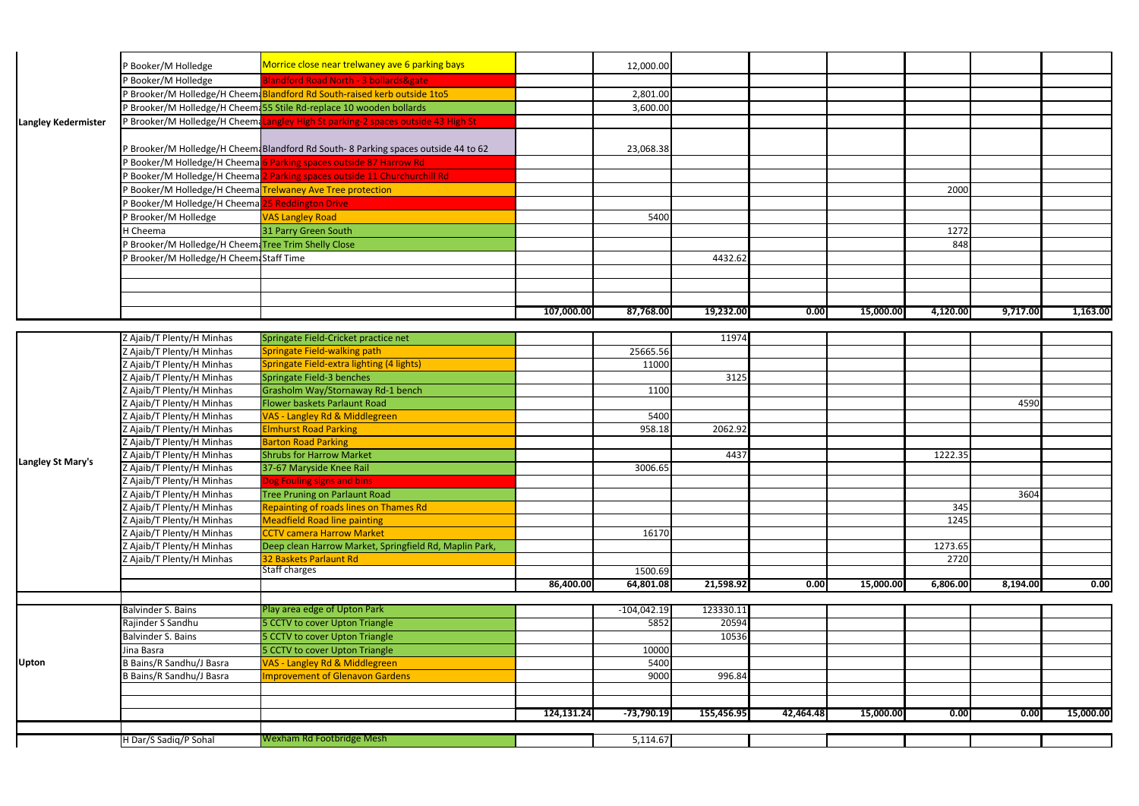|                            | P Booker/M Holledge                                         | Morrice close near trelwaney ave 6 parking bays                                        |            | 12,000.00            |            |           |           |          |          |           |
|----------------------------|-------------------------------------------------------------|----------------------------------------------------------------------------------------|------------|----------------------|------------|-----------|-----------|----------|----------|-----------|
|                            | P Booker/M Holledge                                         | <b>Blandford Road North - 3 bollards&amp;gate</b>                                      |            |                      |            |           |           |          |          |           |
|                            |                                                             | P Brooker/M Holledge/H Cheema Blandford Rd South-raised kerb outside 1to5              |            | 2,801.00             |            |           |           |          |          |           |
|                            |                                                             | P Brooker/M Holledge/H Cheema 55 Stile Rd-replace 10 wooden bollards                   |            | 3,600.00             |            |           |           |          |          |           |
| <b>Langley Kedermister</b> |                                                             | P Brooker/M Holledge/H Cheemalangley High St parking-2 spaces outside 43 High St       |            |                      |            |           |           |          |          |           |
|                            |                                                             |                                                                                        |            |                      |            |           |           |          |          |           |
|                            |                                                             | P Brooker/M Holledge/H Cheem Blandford Rd South- 8 Parking spaces outside 44 to 62     |            | 23,068.38            |            |           |           |          |          |           |
|                            |                                                             | P Booker/M Holledge/H Cheema 6 Parking spaces outside 87 Harrow Rd                     |            |                      |            |           |           |          |          |           |
|                            |                                                             | P Booker/M Holledge/H Cheema <mark>2 Parking spaces outside 11 Churchurchill Rd</mark> |            |                      |            |           |           |          |          |           |
|                            |                                                             | P Booker/M Holledge/H Cheema Trelwaney Ave Tree protection                             |            |                      |            |           |           | 2000     |          |           |
|                            | <sup>2</sup> Booker/M Holledge/H Cheema 25 Reddington Drive |                                                                                        |            |                      |            |           |           |          |          |           |
|                            | P Brooker/M Holledge                                        | <b>VAS Langley Road</b>                                                                |            | 5400                 |            |           |           |          |          |           |
|                            | H Cheema                                                    | 31 Parry Green South                                                                   |            |                      |            |           |           | 1272     |          |           |
|                            | P Brooker/M Holledge/H CheemaTree Trim Shelly Close         |                                                                                        |            |                      |            |           |           | 848      |          |           |
|                            | P Brooker/M Holledge/H Cheem Staff Time                     |                                                                                        |            |                      | 4432.62    |           |           |          |          |           |
|                            |                                                             |                                                                                        |            |                      |            |           |           |          |          |           |
|                            |                                                             |                                                                                        |            |                      |            |           |           |          |          |           |
|                            |                                                             |                                                                                        |            |                      |            |           |           |          |          |           |
|                            |                                                             |                                                                                        | 107,000.00 | 87,768.00            | 19,232.00  | 0.00      | 15,000.00 | 4,120.00 | 9,717.00 | 1,163.00  |
|                            |                                                             |                                                                                        |            |                      |            |           |           |          |          |           |
|                            | Z Ajaib/T Plenty/H Minhas                                   | Springate Field-Cricket practice net                                                   |            |                      | 11974      |           |           |          |          |           |
|                            | Z Ajaib/T Plenty/H Minhas                                   | Springate Field-walking path                                                           |            | 25665.56             |            |           |           |          |          |           |
|                            | Z Ajaib/T Plenty/H Minhas                                   | Springate Field-extra lighting (4 lights)                                              |            | 11000                |            |           |           |          |          |           |
|                            | Z Ajaib/T Plenty/H Minhas                                   | Springate Field-3 benches                                                              |            |                      | 3125       |           |           |          |          |           |
|                            | Z Ajaib/T Plenty/H Minhas                                   | Grasholm Way/Stornaway Rd-1 bench                                                      |            | 1100                 |            |           |           |          |          |           |
|                            | Z Ajaib/T Plenty/H Minhas                                   | Flower baskets Parlaunt Road                                                           |            |                      |            |           |           |          | 4590     |           |
|                            | Z Ajaib/T Plenty/H Minhas                                   | VAS - Langley Rd & Middlegreen                                                         |            | 5400                 |            |           |           |          |          |           |
|                            | Z Ajaib/T Plenty/H Minhas                                   | <b>Elmhurst Road Parking</b>                                                           |            | 958.18               | 2062.92    |           |           |          |          |           |
|                            | Z Ajaib/T Plenty/H Minhas                                   | <b>Barton Road Parking</b>                                                             |            |                      |            |           |           |          |          |           |
| Langley St Mary's          | Z Ajaib/T Plenty/H Minhas                                   | <b>Shrubs for Harrow Market</b>                                                        |            |                      | 4437       |           |           | 1222.35  |          |           |
|                            | Z Ajaib/T Plenty/H Minhas                                   | 37-67 Maryside Knee Rail                                                               |            | 3006.65              |            |           |           |          |          |           |
|                            | Z Ajaib/T Plenty/H Minhas                                   | Dog Fouling signs and bins                                                             |            |                      |            |           |           |          |          |           |
|                            | Z Ajaib/T Plenty/H Minhas                                   | <b>Tree Pruning on Parlaunt Road</b>                                                   |            |                      |            |           |           |          | 3604     |           |
|                            | Z Ajaib/T Plenty/H Minhas                                   | Repainting of roads lines on Thames Rd                                                 |            |                      |            |           |           | 345      |          |           |
|                            | Z Ajaib/T Plenty/H Minhas                                   | <b>Meadfield Road line painting</b>                                                    |            |                      |            |           |           | 1245     |          |           |
|                            | Z Ajaib/T Plenty/H Minhas                                   | <b>CCTV camera Harrow Market</b>                                                       |            | 16170                |            |           |           |          |          |           |
|                            | Z Ajaib/T Plenty/H Minhas                                   | Deep clean Harrow Market, Springfield Rd, Maplin Park,                                 |            |                      |            |           |           | 1273.65  |          |           |
|                            | Z Ajaib/T Plenty/H Minhas                                   | 32 Baskets Parlaunt Rd<br><b>Staff charges</b>                                         |            |                      |            |           |           | 2720     |          |           |
|                            |                                                             |                                                                                        | 86,400.00  | 1500.69<br>64,801.08 | 21,598.92  | 0.00      |           |          | 8,194.00 |           |
|                            |                                                             |                                                                                        |            |                      |            |           | 15,000.00 | 6,806.00 |          | 0.00      |
|                            | Balvinder S. Bains                                          | Play area edge of Upton Park                                                           |            | $-104,042.19$        | 123330.11  |           |           |          |          |           |
|                            | Rajinder S Sandhu                                           | 5 CCTV to cover Upton Triangle                                                         |            | 5852                 | 20594      |           |           |          |          |           |
|                            | Balvinder S. Bains                                          | 5 CCTV to cover Upton Triangle                                                         |            |                      | 10536      |           |           |          |          |           |
|                            | Jina Basra                                                  | 5 CCTV to cover Upton Triangle                                                         |            | 10000                |            |           |           |          |          |           |
| <b>Upton</b>               | <b>B</b> Bains/R Sandhu/J Basra                             | VAS - Langley Rd & Middlegreen                                                         |            | 5400                 |            |           |           |          |          |           |
|                            | B Bains/R Sandhu/J Basra                                    | <b>Improvement of Glenavon Gardens</b>                                                 |            | 9000                 | 996.84     |           |           |          |          |           |
|                            |                                                             |                                                                                        |            |                      |            |           |           |          |          |           |
|                            |                                                             |                                                                                        |            |                      |            |           |           |          |          |           |
|                            |                                                             |                                                                                        | 124,131.24 | $-73,790.19$         | 155,456.95 | 42,464.48 | 15,000.00 | 0.00     | 0.00     | 15,000.00 |
|                            |                                                             |                                                                                        |            |                      |            |           |           |          |          |           |
|                            | H Dar/S Sadiq/P Sohal                                       | Wexham Rd Footbridge Mesh                                                              |            | 5,114.67             |            |           |           |          |          |           |
|                            |                                                             |                                                                                        |            |                      |            |           |           |          |          |           |